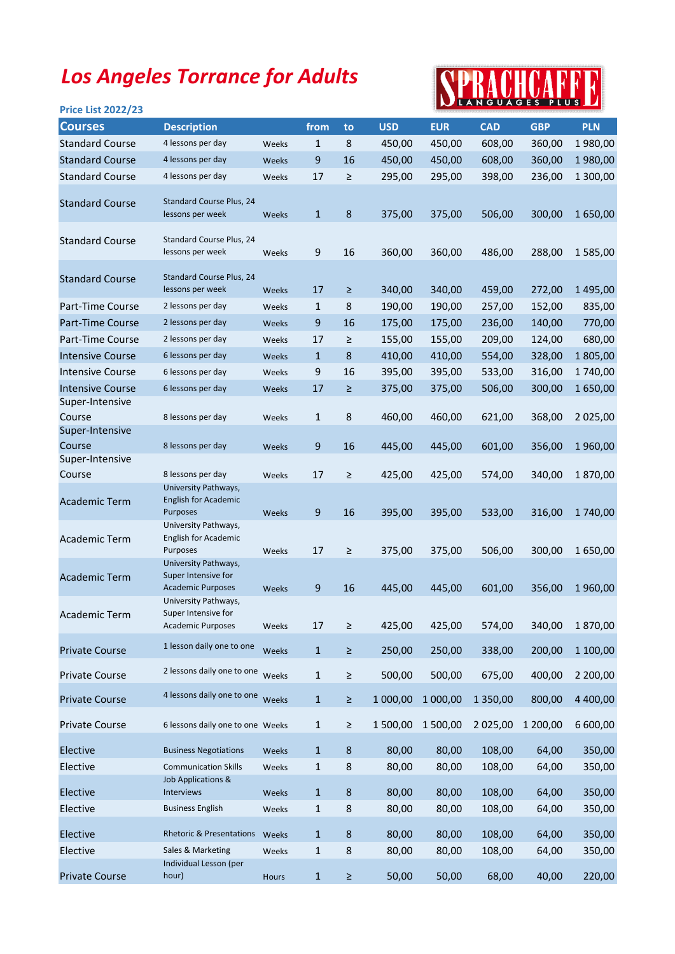## Los Angeles Torrance for Adults

## SPRACHCAFFE

| <b>Price List 2022/23</b>                  |                                                                         |       |                  |         |            |            | NEANGUAGES FLUS |            |            |
|--------------------------------------------|-------------------------------------------------------------------------|-------|------------------|---------|------------|------------|-----------------|------------|------------|
| <b>Courses</b>                             | <b>Description</b>                                                      |       | from             | to      | <b>USD</b> | <b>EUR</b> | <b>CAD</b>      | <b>GBP</b> | <b>PLN</b> |
| <b>Standard Course</b>                     | 4 lessons per day                                                       | Weeks | $\mathbf{1}$     | 8       | 450,00     | 450,00     | 608,00          | 360,00     | 1980,00    |
| <b>Standard Course</b>                     | 4 lessons per day                                                       | Weeks | $\boldsymbol{9}$ | 16      | 450,00     | 450,00     | 608,00          | 360,00     | 1980,00    |
| <b>Standard Course</b>                     | 4 lessons per day                                                       | Weeks | 17               | $\geq$  | 295,00     | 295,00     | 398,00          | 236,00     | 1 300,00   |
| <b>Standard Course</b>                     | Standard Course Plus, 24<br>lessons per week                            | Weeks | $\mathbf{1}$     | $\bf 8$ | 375,00     | 375,00     | 506,00          | 300,00     | 1 650,00   |
| <b>Standard Course</b>                     | Standard Course Plus, 24<br>lessons per week                            | Weeks | 9                | 16      | 360,00     | 360,00     | 486,00          | 288,00     | 1 585,00   |
| <b>Standard Course</b>                     | <b>Standard Course Plus, 24</b><br>lessons per week                     | Weeks | 17               | $\geq$  | 340,00     | 340,00     | 459,00          | 272,00     | 1 495,00   |
| Part-Time Course                           | 2 lessons per day                                                       | Weeks | $\mathbf{1}$     | 8       | 190,00     | 190,00     | 257,00          | 152,00     | 835,00     |
| Part-Time Course                           | 2 lessons per day                                                       | Weeks | 9                | 16      | 175,00     | 175,00     | 236,00          | 140,00     | 770,00     |
| Part-Time Course                           | 2 lessons per day                                                       | Weeks | 17               | $\geq$  | 155,00     | 155,00     | 209,00          | 124,00     | 680,00     |
| <b>Intensive Course</b>                    | 6 lessons per day                                                       | Weeks | $\mathbf{1}$     | 8       | 410,00     | 410,00     | 554,00          | 328,00     | 1805,00    |
| <b>Intensive Course</b>                    | 6 lessons per day                                                       | Weeks | $\boldsymbol{9}$ | 16      | 395,00     | 395,00     | 533,00          | 316,00     | 1740,00    |
| <b>Intensive Course</b><br>Super-Intensive | 6 lessons per day                                                       | Weeks | 17               | $\geq$  | 375,00     | 375,00     | 506,00          | 300,00     | 1650,00    |
| Course                                     | 8 lessons per day                                                       | Weeks | $\mathbf{1}$     | 8       | 460,00     | 460,00     | 621,00          | 368,00     | 2 025,00   |
| Super-Intensive<br>Course                  | 8 lessons per day                                                       | Weeks | 9                | 16      | 445,00     | 445,00     | 601,00          | 356,00     | 1960,00    |
| Super-Intensive                            |                                                                         |       |                  |         |            |            |                 |            |            |
| Course                                     | 8 lessons per day                                                       | Weeks | 17               | $\geq$  | 425,00     | 425,00     | 574,00          | 340,00     | 1870,00    |
| <b>Academic Term</b>                       | University Pathways,<br><b>English for Academic</b><br><b>Purposes</b>  | Weeks | 9                | 16      | 395,00     | 395,00     | 533,00          | 316,00     | 1740,00    |
| <b>Academic Term</b>                       | University Pathways,<br><b>English for Academic</b><br>Purposes         | Weeks | 17               | ≥       | 375,00     | 375,00     | 506,00          | 300,00     | 1 650,00   |
| <b>Academic Term</b>                       | University Pathways,<br>Super Intensive for<br><b>Academic Purposes</b> | Weeks | 9                | 16      | 445,00     | 445,00     | 601,00          | 356,00     | 1960,00    |
| <b>Academic Term</b>                       | University Pathways,<br>Super Intensive for<br><b>Academic Purposes</b> | Weeks | 17               | $\geq$  | 425,00     | 425,00     | 574,00          | 340,00     | 1870,00    |
| <b>Private Course</b>                      | 1 lesson daily one to one                                               | Weeks | $\mathbf 1$      | $\geq$  | 250,00     | 250,00     | 338,00          | 200,00     | 1 100,00   |
| <b>Private Course</b>                      | 2 lessons daily one to one                                              | Weeks | $\mathbf{1}$     | $\geq$  | 500,00     | 500,00     | 675,00          | 400,00     | 2 200,00   |
| <b>Private Course</b>                      | 4 lessons daily one to one                                              | Weeks | $\mathbf 1$      | $\geq$  | 1 000,00   | 1 000,00   | 1 350,00        | 800,00     | 4 400,00   |
| <b>Private Course</b>                      | 6 lessons daily one to one Weeks                                        |       | $\mathbf 1$      | $\geq$  | 1 500,00   | 1 500,00   | 2 025,00        | 1 200,00   | 6 600,00   |
| Elective                                   | <b>Business Negotiations</b>                                            | Weeks | $\mathbf{1}$     | $\bf 8$ | 80,00      | 80,00      | 108,00          | 64,00      | 350,00     |
| Elective                                   | <b>Communication Skills</b>                                             | Weeks | $\mathbf 1$      | $\bf 8$ | 80,00      | 80,00      | 108,00          | 64,00      | 350,00     |
| Elective                                   | Job Applications &<br>Interviews                                        | Weeks | $\mathbf{1}$     | $\bf 8$ | 80,00      | 80,00      | 108,00          | 64,00      | 350,00     |
| Elective                                   | <b>Business English</b>                                                 | Weeks | $\mathbf 1$      | 8       | 80,00      | 80,00      | 108,00          | 64,00      | 350,00     |
| Elective                                   | <b>Rhetoric &amp; Presentations</b>                                     | Weeks | $\mathbf{1}$     | $\bf 8$ | 80,00      | 80,00      | 108,00          | 64,00      | 350,00     |
| Elective                                   | Sales & Marketing                                                       | Weeks | $\mathbf 1$      | 8       | 80,00      | 80,00      | 108,00          | 64,00      | 350,00     |
|                                            | Individual Lesson (per                                                  |       |                  |         |            |            |                 |            |            |
| <b>Private Course</b>                      | hour)                                                                   | Hours | $\mathbf{1}$     | $\geq$  | 50,00      | 50,00      | 68,00           | 40,00      | 220,00     |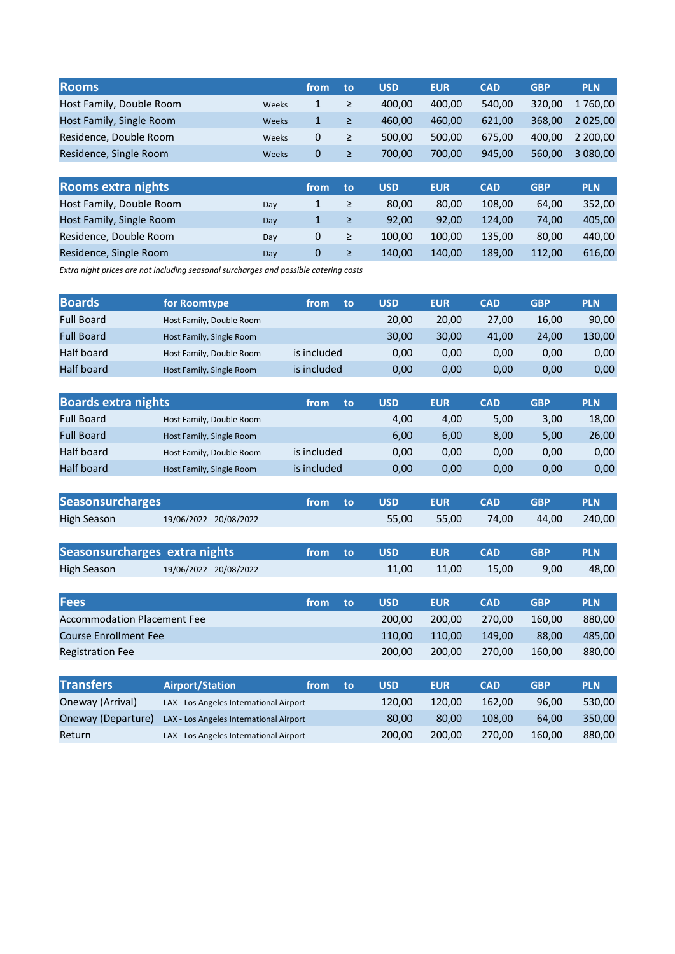| <b>Rooms</b>             |              | from           | to | <b>USD</b> | <b>EUR</b> | <b>CAD</b> | <b>GBP</b> | <b>PLN</b>  |
|--------------------------|--------------|----------------|----|------------|------------|------------|------------|-------------|
| Host Family, Double Room | Weeks        |                |    | 400.00     | 400.00     | 540.00     | 320.00     | 1760.00     |
| Host Family, Single Room | <b>Weeks</b> |                |    | 460.00     | 460.00     | 621.00     | 368,00     | 2 0 2 5 .00 |
| Residence, Double Room   | <b>Weeks</b> | 0              |    | 500.00     | 500.00     | 675.00     | 400.00     | 2 200.00    |
| Residence, Single Room   | <b>Weeks</b> | $\overline{0}$ |    | 700.00     | 700.00     | 945.00     | 560.00     | 3 080,00    |

| <b>Rooms extra nights</b> |     | from | ۱to | <b>USD</b> | <b>EUR</b> | <b>CAD</b> | <b>GBP</b> | <b>PLN</b> |
|---------------------------|-----|------|-----|------------|------------|------------|------------|------------|
| Host Family, Double Room  | Day |      |     | 80.00      | 80.00      | 108.00     | 64,00      | 352.00     |
| Host Family, Single Room  | Day |      |     | 92.00      | 92.00      | 124.00     | 74,00      | 405.00     |
| Residence, Double Room    | Day |      |     | 100.00     | 100.00     | 135.00     | 80.00      | 440.00     |
| Residence, Single Room    | Day | 0    |     | 140.00     | 140.00     | 189.00     | 112.00     | 616.00     |

Extra night prices are not including seasonal surcharges and possible catering costs

| <b>Boards</b>     | for Roomtype             | from<br>to  | <b>USD</b> | <b>EUR</b> | <b>CAD</b> | <b>GBP</b> | <b>PLN</b> |
|-------------------|--------------------------|-------------|------------|------------|------------|------------|------------|
| <b>Full Board</b> | Host Family, Double Room |             | 20.00      | 20.00      | 27.00      | 16,00      | 90,00      |
| <b>Full Board</b> | Host Family, Single Room |             | 30.00      | 30,00      | 41,00      | 24,00      | 130,00     |
| Half board        | Host Family, Double Room | is included | 0,00       | 0,00       | 0,00       | 0,00       | 0,00       |
| <b>Half board</b> | Host Family, Single Room | is included | 0,00       | 0,00       | 0,00       | 0,00       | 0,00       |

| <b>Boards extra nights</b> |                          | from<br>to  | <b>USD</b> | <b>EUR</b> | <b>CAD</b> | <b>GBP</b> | <b>PLN</b> |
|----------------------------|--------------------------|-------------|------------|------------|------------|------------|------------|
| <b>Full Board</b>          | Host Family, Double Room |             | 4.00       | 4.00       | 5,00       | 3,00       | 18,00      |
| <b>Full Board</b>          | Host Family, Single Room |             | 6,00       | 6,00       | 8,00       | 5,00       | 26,00      |
| Half board                 | Host Family, Double Room | is included | 0.00       | 0,00       | 0,00       | 0,00       | 0,00       |
| <b>Half board</b>          | Host Family, Single Room | is included | 0,00       | 0.00       | 0,00       | 0,00       | 0,00       |

| <b>Seasonsurcharges</b> |                         | from to | USD.  | <b>EUR</b> | <b>CAD</b> | <b>GRP</b> | <b>PLN</b> |
|-------------------------|-------------------------|---------|-------|------------|------------|------------|------------|
| High Season             | 19/06/2022 - 20/08/2022 |         | 55.00 | 55.00      | 74.00      | 44.00      | 240.00     |

| Seasonsurcharges extra nights |                         | from to | . USD' | <b>EUR</b> | <b>CAD</b> | <b>GRP</b> | <b>PLN</b> |
|-------------------------------|-------------------------|---------|--------|------------|------------|------------|------------|
| <b>High Season</b>            | 19/06/2022 - 20/08/2022 |         | 11.00  | 11.00      | 15.00      | 9.00       | 48,00      |

| <b>Fees</b>                        | from | to | <b>USD</b> | <b>EUR</b> | <b>CAD</b> | <b>GBP</b> | <b>PLN</b> |
|------------------------------------|------|----|------------|------------|------------|------------|------------|
| <b>Accommodation Placement Fee</b> |      |    | 200.00     | 200.00     | 270.00     | 160.00     | 880.00     |
| Course Enrollment Fee              |      |    | 110.00     | 110.00     | 149.00     | 88.00      | 485.00     |
| <b>Registration Fee</b>            |      |    | 200.00     | 200.00     | 270.00     | 160.00     | 880.00     |

| <b>Transfers</b>   | <b>Airport/Station</b>                  | from | to    | <b>USD</b> | <b>EUR</b> | CAD    | <b>GBP</b> | <b>PLN</b> |
|--------------------|-----------------------------------------|------|-------|------------|------------|--------|------------|------------|
| Oneway (Arrival)   | LAX - Los Angeles International Airport |      |       | 120.00     | 120.00     | 162.00 | 96.00      | 530.00     |
| Oneway (Departure) | LAX - Los Angeles International Airport |      | 80.00 | 80.00      | 108.00     | 64.00  | 350.00     |            |
| Return             | LAX - Los Angeles International Airport |      |       | 200.00     | 200.00     | 270.00 | 160.00     | 880,00     |